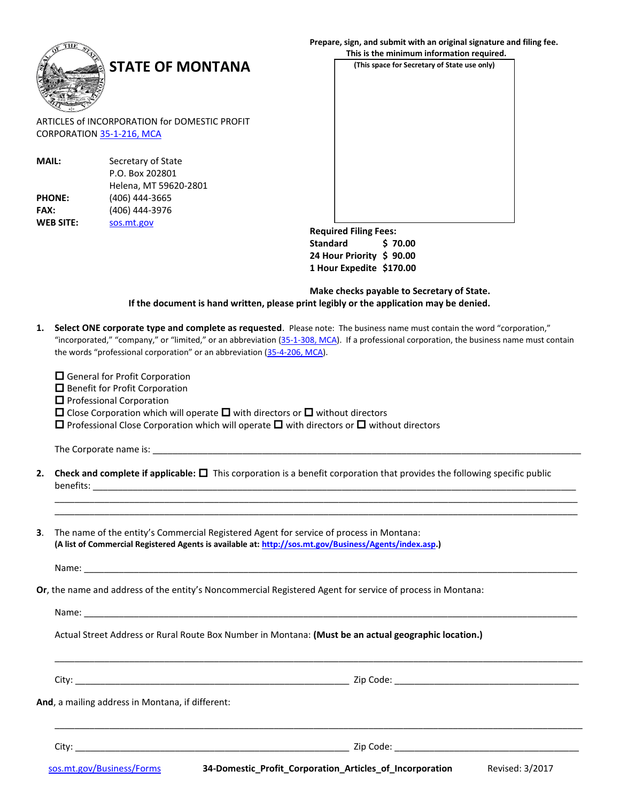

ARTICLES of INCORPORATION for DOMESTIC PROFIT CORPORATION [35-1-216, MCA](http://leg.mt.gov/bills/mca/35/1/35-1-216.htm)

| <b>MAIL:</b>     | Secretary of State    |  |
|------------------|-----------------------|--|
|                  | P.O. Box 202801       |  |
|                  | Helena, MT 59620-2801 |  |
| <b>PHONE:</b>    | (406) 444-3665        |  |
| <b>FAX:</b>      | (406) 444-3976        |  |
| <b>WEB SITE:</b> | sos.mt.gov            |  |

## **Prepare, sign, and submit with an original signature and filing fee.**

**(This space for Secretary of State use only) STATE OF MONTANA This is the minimum information required.**

> **Required Filing Fees: Standard \$ 70.00 24 Hour Priority \$ 90.00 1 Hour Expedite \$170.00**

**Make checks payable to Secretary of State. If the document is hand written, please print legibly or the application may be denied.**

**1. Select ONE corporate type and complete as requested**. Please note: The business name must contain the word "corporation," "incorporated," "company," or "limited," or an abbreviation [\(35-1-308, MCA\)](http://leg.mt.gov/bills/mca/35/1/35-1-308.htm). If a professional corporation, the business name must contain the words "professional corporation" or an abbreviation ([35-4-206, MCA\)](http://leg.mt.gov/bills/mca/35/4/35-4-206.htm).

□ General for Profit Corporation

Benefit for Profit Corporation

 $\Box$  Professional Corporation

 $\square$  Close Corporation which will operate  $\square$  with directors or  $\square$  without directors

 $\square$  Professional Close Corporation which will operate  $\square$  with directors or  $\square$  without directors

The Corporate name is: \_\_\_\_\_\_\_\_\_\_\_\_\_\_\_\_\_\_\_\_\_\_\_\_\_\_\_\_\_\_\_\_\_\_\_\_\_\_\_\_\_\_\_\_\_\_\_\_\_\_\_\_\_\_\_\_\_\_\_\_\_\_\_\_\_\_\_\_\_\_\_\_\_\_\_\_\_\_\_\_\_\_\_\_\_\_

**2. Check and complete if applicable:** This corporation is a benefit corporation that provides the following specific public benefits:

\_\_\_\_\_\_\_\_\_\_\_\_\_\_\_\_\_\_\_\_\_\_\_\_\_\_\_\_\_\_\_\_\_\_\_\_\_\_\_\_\_\_\_\_\_\_\_\_\_\_\_\_\_\_\_\_\_\_\_\_\_\_\_\_\_\_\_\_\_\_\_\_\_\_\_\_\_\_\_\_\_\_\_\_\_\_\_\_\_\_\_\_\_\_\_\_\_\_\_\_\_\_\_\_\_ \_\_\_\_\_\_\_\_\_\_\_\_\_\_\_\_\_\_\_\_\_\_\_\_\_\_\_\_\_\_\_\_\_\_\_\_\_\_\_\_\_\_\_\_\_\_\_\_\_\_\_\_\_\_\_\_\_\_\_\_\_\_\_\_\_\_\_\_\_\_\_\_\_\_\_\_\_\_\_\_\_\_\_\_\_\_\_\_\_\_\_\_\_\_\_\_\_\_\_\_\_\_\_\_\_

**3**. The name of the entity's Commercial Registered Agent for service of process in Montana: **(A list of Commercial Registered Agents is available at[: http://sos.mt.gov/Business/Agents/index.asp.\)](http://sos.mt.gov/Business/Agents/index.asp)**

Name: \_\_\_\_\_\_\_\_\_\_\_\_\_\_\_\_\_\_\_\_\_\_\_\_\_\_\_\_\_\_\_\_\_\_\_\_\_\_\_\_\_\_\_\_\_\_\_\_\_\_\_\_\_\_\_\_\_\_\_\_\_\_\_\_\_\_\_\_\_\_\_\_\_\_\_\_\_\_\_\_\_\_\_\_\_\_\_\_\_\_\_\_\_\_\_\_\_\_\_

**Or**, the name and address of the entity's Noncommercial Registered Agent for service of process in Montana:

Name:

Actual Street Address or Rural Route Box Number in Montana: **(Must be an actual geographic location.)**

City: \_\_\_\_\_\_\_\_\_\_\_\_\_\_\_\_\_\_\_\_\_\_\_\_\_\_\_\_\_\_\_\_\_\_\_\_\_\_\_\_\_\_\_\_\_\_\_\_\_\_\_\_\_\_\_ Zip Code: \_\_\_\_\_\_\_\_\_\_\_\_\_\_\_\_\_\_\_\_\_\_\_\_\_\_\_\_\_\_\_\_\_\_\_\_\_

**And**, a mailing address in Montana, if different:

City: \_\_\_\_\_\_\_\_\_\_\_\_\_\_\_\_\_\_\_\_\_\_\_\_\_\_\_\_\_\_\_\_\_\_\_\_\_\_\_\_\_\_\_\_\_\_\_\_\_\_\_\_\_\_\_ Zip Code: \_\_\_\_\_\_\_\_\_\_\_\_\_\_\_\_\_\_\_\_\_\_\_\_\_\_\_\_\_\_\_\_\_\_\_\_\_

[sos.mt.gov/Business/Forms](http://sos.mt.gov/Business/Forms) **34-Domestic\_Profit\_Corporation\_Articles\_of\_Incorporation** Revised: 3/2017

\_\_\_\_\_\_\_\_\_\_\_\_\_\_\_\_\_\_\_\_\_\_\_\_\_\_\_\_\_\_\_\_\_\_\_\_\_\_\_\_\_\_\_\_\_\_\_\_\_\_\_\_\_\_\_\_\_\_\_\_\_\_\_\_\_\_\_\_\_\_\_\_\_\_\_\_\_\_\_\_\_\_\_\_\_\_\_\_\_\_\_\_\_\_\_\_\_\_\_\_\_\_\_\_\_\_

\_\_\_\_\_\_\_\_\_\_\_\_\_\_\_\_\_\_\_\_\_\_\_\_\_\_\_\_\_\_\_\_\_\_\_\_\_\_\_\_\_\_\_\_\_\_\_\_\_\_\_\_\_\_\_\_\_\_\_\_\_\_\_\_\_\_\_\_\_\_\_\_\_\_\_\_\_\_\_\_\_\_\_\_\_\_\_\_\_\_\_\_\_\_\_\_\_\_\_\_\_\_\_\_\_\_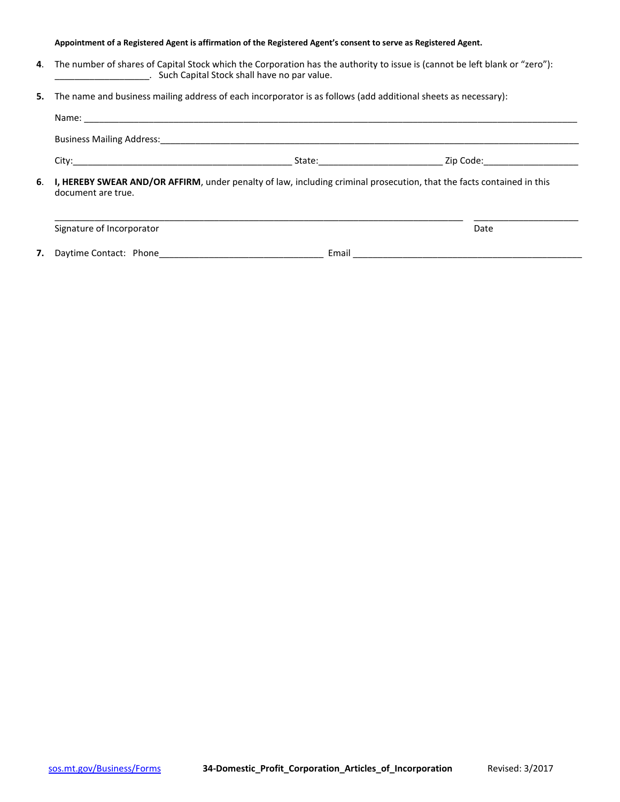## **Appointment of a Registered Agent is affirmation of the Registered Agent's consent to serve as Registered Agent.**

- **4**. The number of shares of Capital Stock which the Corporation has the authority to issue is (cannot be left blank or "zero"): \_\_\_\_\_\_. Such Capital Stock shall have no par value.
- **5.** The name and business mailing address of each incorporator is as follows (add additional sheets as necessary):

|                    |                                                                                                                          | Zip Code: __________________ |  |  |  |
|--------------------|--------------------------------------------------------------------------------------------------------------------------|------------------------------|--|--|--|
| document are true. | 6. I, HEREBY SWEAR AND/OR AFFIRM, under penalty of law, including criminal prosecution, that the facts contained in this |                              |  |  |  |
|                    |                                                                                                                          |                              |  |  |  |

| Signature of Incorporator |       | Date |
|---------------------------|-------|------|
| 7. Daytime Contact: Phone | Email |      |